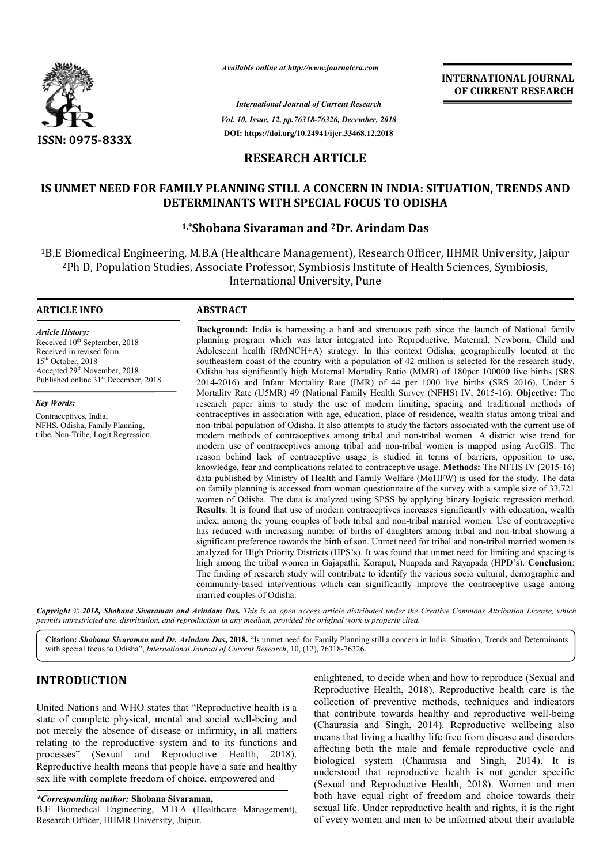

*Available online at http://www.journalcra.com*

*International Journal of Current Research Vol. 10, Issue, 12, pp.76318-76326, December, 2018* **DOI: https://doi.org/10.24941/ijcr.33468.12.2018**

**INTERNATIONAL JOURNAL OF CURRENT RESEARCH**

# **RESEARCH ARTICLE**

# IS UNMET NEED FOR FAMILY PLANNING STILL A CONCERN IN INDIA: SITUATION, TRENDS AND<br>DETERMINANTS WITH SPECIAL FOCUS TO ODISHA **DETERMINANTS WITH SPECIAL FOCUS TO ODISHA**

# **1,\*Shobana Sivaraman and Shobana 2Dr. Arindam Das**

1B.E Biomedical Engineering, M.B.A (Healthcare Management), Research Officer, IIHMR University, Jaipur 2Ph D, Population Studies, Associate Professor, Symbiosis Institute of Health Sciences, Symbiosis, B.E Biomedical Engineering, M.B.A (Healthcare Management), Rese<br><sup>2</sup>Ph D, Population Studies, Associate Professor, Symbiosis Instit<sup>2</sup> Associate Professor, Symbiosis Institute of Health Sciences,

## **ARTICLE INFO ABSTRACT**

*Article History:* Received 10<sup>th</sup> September, 2018 Received in revised form 15th October, 2018 Accepted 29<sup>th</sup> November, 2018 Published online 31<sup>st</sup> December, 2018

*Key Words:* Contraceptives, India, NFHS, Odisha, Family Planning, tribe, Non-Tribe, Logit Regression.

**Background:** India is harnessing a hard and strenuous path since the launch of National family planning program which was later integrated into Reproductive, Maternal, Newborn, Child and Adolescent health (RMNCH+A) strategy. In this context Odisha, geographically located at the southeastern coast of the country with a population of 42 million is selected for the research study. Odisha has significantly high Maternal Mortality Ratio (MMR) of 180per 100000 live births (SRS 2014-2016) a 2016) and Infant Mortality Rate (IMR) of 44 per 1000 live births (SRS 2016), Under 5 Mortality Rate (U5MR) 49 (National Family Health Survey (NFHS) IV, 2015-16). Objective: The research paper aims to study the use of modern limiting, spacing and traditional methods of contraceptives in association with age, education, place of residence, wealth status among tribal and non-tribal population of Odisha. It also attempts to study the factors associated with the current use of non-tribal population of Odisha. It also attempts to study the factors associated with the current use of modern methods of contraceptives among tribal and non-tribal women. A district wise trend for modern use of contraceptives among tribal and non-tribal women is mapped using ArcGIS. The reason behind lack of contraceptive usage is studied in terms of barriers, opposition to use, knowledge, fear and complications related to contraceptive usage. **Methods:** The NFHS IV (2015-16) data published by Ministry of Health and Family Welfare (MoHFW) is used for the study. The data data published by Ministry of Health and Family Welfare (MoHFW) is used for the study. The data on family planning is accessed from woman questionnaire of the survey with a sample size of 33,721 women of Odisha. The data is analyzed using SPSS by applying binary logistic regression method. **Results** : It is found that use of modern contraceptives increases significantly with education, wealth index, among the young couples of both tribal and non-tribal married women. Use of contraceptive women of Odisha. The data is analyzed using SPSS by applying binary logistic regression method. **Results**: It is found that use of modern contraceptives increases significantly with education, wealth index, among the young significant preference towards the birth of son. Unmet need for tribal and non-tribal married women is analyzed for High Priority Districts (HPS's). It was found that unmet need for limiting and spacing is analyzed for High Priority Districts (HPS's). It was found that unmet need for limiting and spacing is<br>high among the tribal women in Gajapathi, Koraput, Nuapada and Rayapada (HPD's). Conclusion: The finding of research study will contribute to identify the various socio cultural, demographic and The finding of research study will contribute to identify the various socio cultural, demographic and community-based interventions which can significantly improve the contraceptive usage among married couples of Odisha. Background: India is harnessing a hard and strenuous path since the launch of National family planning program which was later integrated into Reproductive, Maternal, Newborn, Child and Adolescent health (RMNCH+A) strategy contraceptives in association with age, education, place of residence, wealth status among tribal and<br>non-tribal population of Odisha. It also attempts to study the factors associated with the current use of<br>modern methods INTERNATIONAL JOURNAL TRIFFIN TIONAL JOURNAL TRIFFINE RESERVED TRIFFINE RESERVED TRIFFINE RESERVED AND  $3/3/2$  (Migration 2016). The right of the *Content 1998* (1997). The *A* (1997) (1997) (1997) (1997) (1997) (1997) (1

Copyright © 2018, Shobana Sivaraman and Arindam Das. This is an open access article distributed under the Creative Commons Attribution License, which permits unrestricted use, distribution, and reproduction in any medium, provided the original work is properly cited.

Citation: Shobana Sivaraman and Dr. Arindam Das, 2018. "Is unmet need for Family Planning still a concern in India: Situation, Trends and Determinants with special focus to Odisha", *International Journal of Current Research* , 10, (12), 76318-76326.

# **INTRODUCTION**

United Nations and WHO states that "Reproductive health is a state of complete physical, mental and social well well-being and not merely the absence of disease or infirmity, in all matters relating to the reproductive system and to its functions and processes" (Sexual and Reproductive Health, 2018) 2018). Reproductive health means that people have a safe and healthy sex life with complete freedom of choice, empowered and

enlightened, to decide when and how to reproduce (Sexual and Reproductive Health, 2018). Reproductive health care is the collection of preventive methods, techniques and indicators that contribute towards healthy and reproductive well-being (Chaurasia and Singh, 2014) 2014). Reproductive wellbeing also means that living a healthy life free from disease and disorders means that living a healthy life free from disease and disorders affecting both the male and female reproductive cycle and biological system (Chaurasia and Singh, 2014). It is understood that reproductive health is not gender specific understood that reproductive health is not gender specific<br>(Sexual and Reproductive Health, 2018). Women and men both have equal right of freedom and choice towards their both have equal right of freedom and choice towards their<br>sexual life. Under reproductive health and rights, it is the right of every women and men to be informed about their available Health, 2018). Reproductive health care is the preventive methods, techniques and indicators e towards healthy and reproductive well-being

*<sup>\*</sup>Corresponding author:* **Shobana Sivaraman,**

B.E Biomedical Engineering, M.B.A (Healthcare Management), Research Officer, IIHMR University, Jaipur.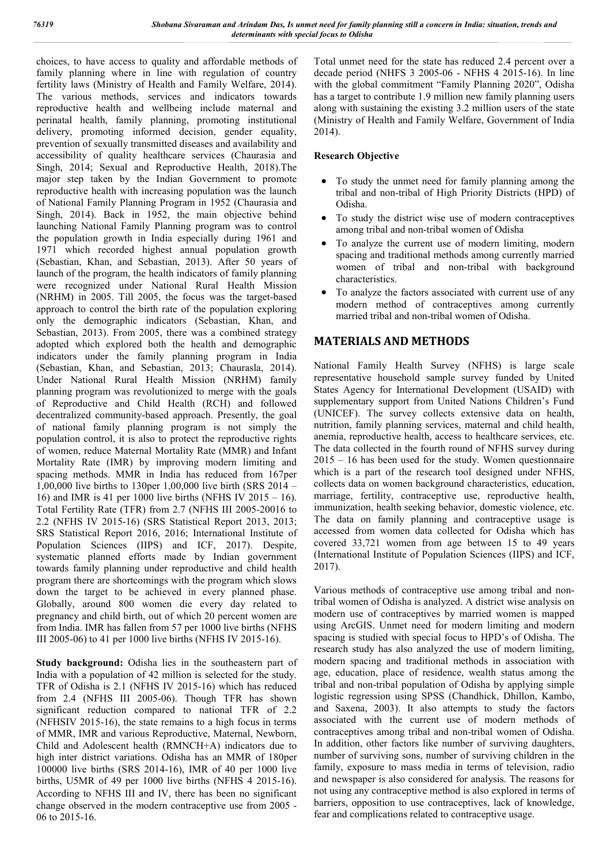choices, to have access to quality and affordable methods of family planning where in line with regulation of country fertility laws (Ministry of Health and Family Welfare, 2014). The various methods, services and indicators towards reproductive health and wellbeing include maternal and perinatal health, family planning, promoting institutional delivery, promoting informed decision, gender equality, prevention of sexually transmitted diseases and availability and accessibility of quality healthcare services (Chaurasia and Singh, 2014; Sexual and Reproductive Health, 2018).The major step taken by the Indian Government to promote reproductive health with increasing population was the launch of National Family Planning Program in 1952 (Chaurasia and Singh, 2014). Back in 1952, the main objective behind launching National Family Planning program was to control the population growth in India especially during 1961 and 1971 which recorded highest annual population growth (Sebastian, Khan, and Sebastian, 2013). After 50 years of launch of the program, the health indicators of family planning were recognized under National Rural Health Mission (NRHM) in 2005. Till 2005, the focus was the target-based approach to control the birth rate of the population exploring only the demographic indicators (Sebastian, Khan, and Sebastian, 2013). From 2005, there was a combined strategy adopted which explored both the health and demographic indicators under the family planning program in India (Sebastian, Khan, and Sebastian, 2013; Chaurasla, 2014). Under National Rural Health Mission (NRHM) family planning program was revolutionized to merge with the goals of Reproductive and Child Health (RCH) and followed decentralized community-based approach. Presently, the goal of national family planning program is not simply the population control, it is also to protect the reproductive rights of women, reduce Maternal Mortality Rate (MMR) and Infant Mortality Rate (IMR) by improving modern limiting and spacing methods. MMR in India has reduced from 167per 1,00,000 live births to 130per 1,00,000 live birth (SRS 2014 – 16) and IMR is 41 per 1000 live births (NFHS IV 2015 – 16). Total Fertility Rate (TFR) from 2.7 (NFHS III 2005-20016 to 2.2 (NFHS IV 2015-16) (SRS Statistical Report 2013, 2013; SRS Statistical Report 2016, 2016; International Institute of Population Sciences (IIPS) and ICF, 2017). Despite, systematic planned efforts made by Indian government towards family planning under reproductive and child health program there are shortcomings with the program which slows down the target to be achieved in every planned phase. Globally, around 800 women die every day related to pregnancy and child birth, out of which 20 percent women are from India. IMR has fallen from 57 per 1000 live births (NFHS III 2005-06) to 41 per 1000 live births (NFHS IV 2015-16).

**Study background:** Odisha lies in the southeastern part of India with a population of 42 million is selected for the study. TFR of Odisha is 2.1 (NFHS IV 2015-16) which has reduced from 2.4 (NFHS III 2005-06). Though TFR has shown significant reduction compared to national TFR of 2.2 (NFHSIV 2015-16), the state remains to a high focus in terms of MMR, IMR and various Reproductive, Maternal, Newborn, Child and Adolescent health (RMNCH+A) indicators due to high inter district variations. Odisha has an MMR of 180per 100000 live births (SRS 2014-16), IMR of 40 per 1000 live births, U5MR of 49 per 1000 live births (NFHS 4 2015-16). According to NFHS III and IV, there has been no significant change observed in the modern contraceptive use from 2005 - 06 to 2015-16.

Total unmet need for the state has reduced 2.4 percent over a decade period (NHFS 3 2005-06 - NFHS 4 2015-16). In line with the global commitment "Family Planning 2020", Odisha has a target to contribute 1.9 million new family planning users along with sustaining the existing 3.2 million users of the state (Ministry of Health and Family Welfare, Government of India 2014).

## **Research Objective**

- To study the unmet need for family planning among the tribal and non-tribal of High Priority Districts (HPD) of Odisha.
- To study the district wise use of modern contraceptives among tribal and non-tribal women of Odisha
- To analyze the current use of modern limiting, modern spacing and traditional methods among currently married women of tribal and non-tribal with background characteristics.
- To analyze the factors associated with current use of any modern method of contraceptives among currently married tribal and non-tribal women of Odisha.

# **MATERIALS AND METHODS**

National Family Health Survey (NFHS) is large scale representative household sample survey funded by United States Agency for International Development (USAID) with supplementary support from United Nations Children's Fund (UNICEF). The survey collects extensive data on health, nutrition, family planning services, maternal and child health, anemia, reproductive health, access to healthcare services, etc. The data collected in the fourth round of NFHS survey during 2015 – 16 has been used for the study. Women questionnaire which is a part of the research tool designed under NFHS, collects data on women background characteristics, education, marriage, fertility, contraceptive use, reproductive health, immunization, health seeking behavior, domestic violence, etc. The data on family planning and contraceptive usage is accessed from women data collected for Odisha which has covered 33,721 women from age between 15 to 49 years (International Institute of Population Sciences (IIPS) and ICF, 2017).

Various methods of contraceptive use among tribal and nontribal women of Odisha is analyzed. A district wise analysis on modern use of contraceptives by married women is mapped using ArcGIS. Unmet need for modern limiting and modern spacing is studied with special focus to HPD's of Odisha. The research study has also analyzed the use of modern limiting, modern spacing and traditional methods in association with age, education, place of residence, wealth status among the tribal and non-tribal population of Odisha by applying simple logistic regression using SPSS (Chandhick, Dhillon, Kambo, and Saxena, 2003). It also attempts to study the factors associated with the current use of modern methods of contraceptives among tribal and non-tribal women of Odisha. In addition, other factors like number of surviving daughters, number of surviving sons, number of surviving children in the family, exposure to mass media in terms of television, radio and newspaper is also considered for analysis. The reasons for not using any contraceptive method is also explored in terms of barriers, opposition to use contraceptives, lack of knowledge, fear and complications related to contraceptive usage.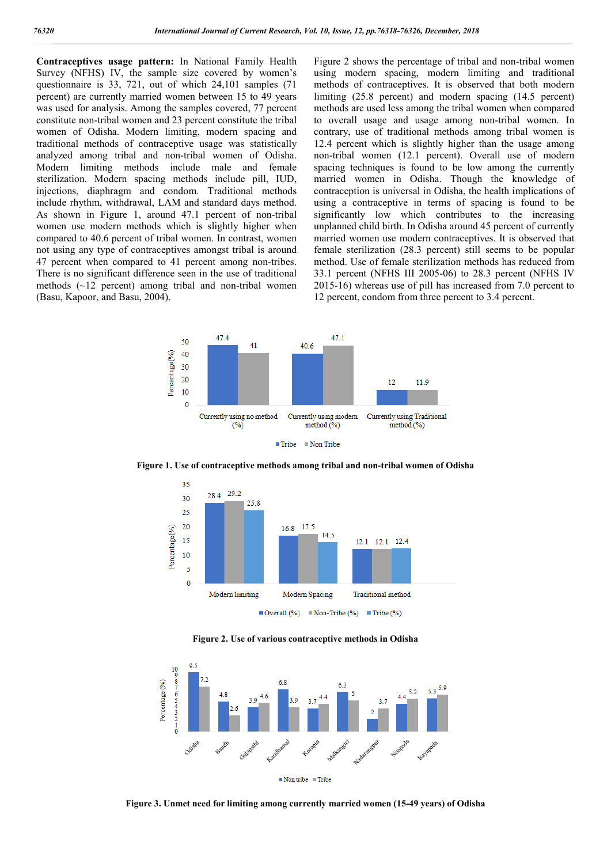**Contraceptives usage pattern:** In National Family Health Survey (NFHS) IV, the sample size covered by women's questionnaire is 33, 721, out of which 24,101 samples (71 percent) are currently married women between 15 to 49 years was used for analysis. Among the samples covered, 77 percent constitute non-tribal women and 23 percent constitute the tribal women of Odisha. Modern limiting, modern spacing and traditional methods of contraceptive usage was statistically analyzed among tribal and non-tribal women of Odisha. Modern limiting methods include male and female sterilization. Modern spacing methods include pill, IUD, injections, diaphragm and condom. Traditional methods include rhythm, withdrawal, LAM and standard days method. As shown in Figure 1, around 47.1 percent of non-tribal women use modern methods which is slightly higher when compared to 40.6 percent of tribal women. In contrast, women not using any type of contraceptives amongst tribal is around 47 percent when compared to 41 percent among non-tribes. There is no significant difference seen in the use of traditional methods (~12 percent) among tribal and non-tribal women (Basu, Kapoor, and Basu, 2004).

Figure 2 shows the percentage of tribal and non-tribal women using modern spacing, modern limiting and traditional methods of contraceptives. It is observed that both modern limiting (25.8 percent) and modern spacing (14.5 percent) methods are used less among the tribal women when compared to overall usage and usage among non-tribal women. In contrary, use of traditional methods among tribal women is 12.4 percent which is slightly higher than the usage among non-tribal women (12.1 percent). Overall use of modern spacing techniques is found to be low among the currently married women in Odisha. Though the knowledge of contraception is universal in Odisha, the health implications of using a contraceptive in terms of spacing is found to be significantly low which contributes to the increasing unplanned child birth. In Odisha around 45 percent of currently married women use modern contraceptives. It is observed that female sterilization (28.3 percent) still seems to be popular method. Use of female sterilization methods has reduced from 33.1 percent (NFHS III 2005-06) to 28.3 percent (NFHS IV 2015-16) whereas use of pill has increased from 7.0 percent to 12 percent, condom from three percent to 3.4 percent.



**Figure 1. Use of contraceptive methods among tribal and non-tribal women of Odisha**



**Figure 2. Use of various contraceptive methods in Odisha**



**Figure 3. Unmet need for limiting among currently married women (15-49 years) of Odisha**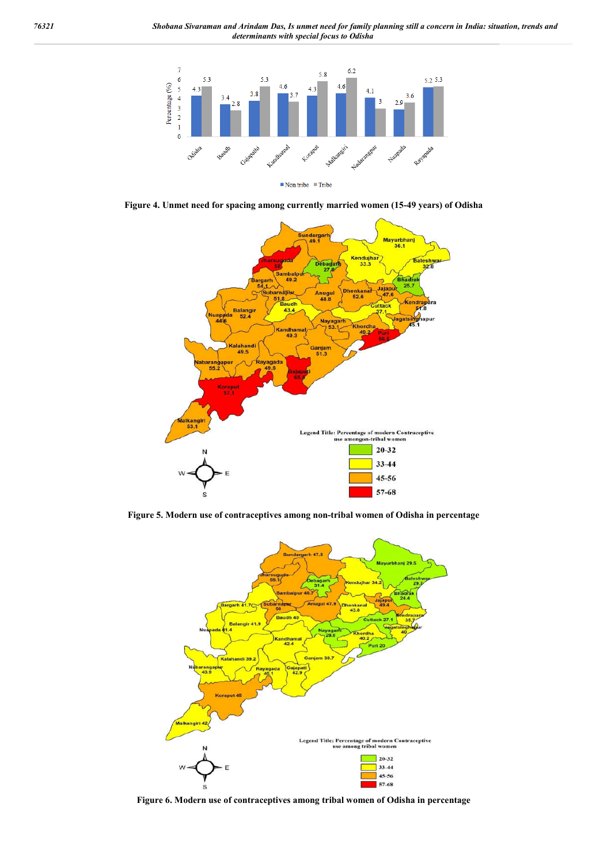

**Figure 4. Unmet need for spacing among currently married women (15-49 years) of Odisha**



**Figure 5. Modern use of contraceptives among non-tribal women of Odisha in percentage**



**Figure 6. Modern use of contraceptives among tribal women of Odisha in percentage**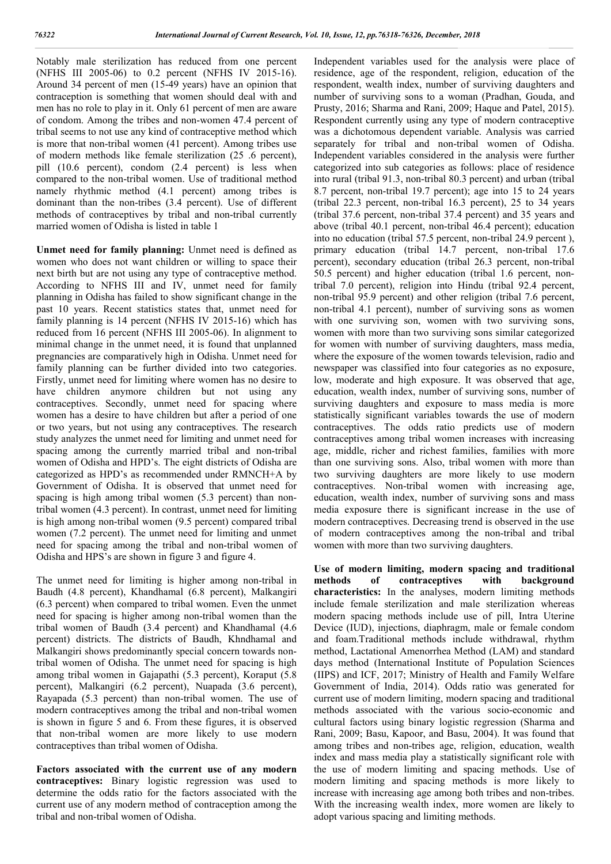Notably male sterilization has reduced from one percent (NFHS III 2005-06) to 0.2 percent (NFHS IV 2015-16). Around 34 percent of men (15-49 years) have an opinion that contraception is something that women should deal with and men has no role to play in it. Only 61 percent of men are aware of condom. Among the tribes and non-women 47.4 percent of tribal seems to not use any kind of contraceptive method which is more that non-tribal women (41 percent). Among tribes use of modern methods like female sterilization (25 .6 percent), pill (10.6 percent), condom (2.4 percent) is less when compared to the non-tribal women. Use of traditional method namely rhythmic method (4.1 percent) among tribes is dominant than the non-tribes (3.4 percent). Use of different methods of contraceptives by tribal and non-tribal currently married women of Odisha is listed in table 1

**Unmet need for family planning:** Unmet need is defined as women who does not want children or willing to space their next birth but are not using any type of contraceptive method. According to NFHS III and IV, unmet need for family planning in Odisha has failed to show significant change in the past 10 years. Recent statistics states that, unmet need for family planning is 14 percent (NFHS IV 2015-16) which has reduced from 16 percent (NFHS III 2005-06). In alignment to minimal change in the unmet need, it is found that unplanned pregnancies are comparatively high in Odisha. Unmet need for family planning can be further divided into two categories. Firstly, unmet need for limiting where women has no desire to have children anymore children but not using any contraceptives. Secondly, unmet need for spacing where women has a desire to have children but after a period of one or two years, but not using any contraceptives. The research study analyzes the unmet need for limiting and unmet need for spacing among the currently married tribal and non-tribal women of Odisha and HPD's. The eight districts of Odisha are categorized as HPD's as recommended under RMNCH+A by Government of Odisha. It is observed that unmet need for spacing is high among tribal women (5.3 percent) than nontribal women (4.3 percent). In contrast, unmet need for limiting is high among non-tribal women (9.5 percent) compared tribal women (7.2 percent). The unmet need for limiting and unmet need for spacing among the tribal and non-tribal women of Odisha and HPS's are shown in figure 3 and figure 4.

The unmet need for limiting is higher among non-tribal in Baudh (4.8 percent), Khandhamal (6.8 percent), Malkangiri (6.3 percent) when compared to tribal women. Even the unmet need for spacing is higher among non-tribal women than the tribal women of Baudh (3.4 percent) and Khandhamal (4.6 percent) districts. The districts of Baudh, Khndhamal and Malkangiri shows predominantly special concern towards nontribal women of Odisha. The unmet need for spacing is high among tribal women in Gajapathi (5.3 percent), Koraput (5.8 percent), Malkangiri (6.2 percent), Nuapada (3.6 percent), Rayapada (5.3 percent) than non-tribal women. The use of modern contraceptives among the tribal and non-tribal women is shown in figure 5 and 6. From these figures, it is observed that non-tribal women are more likely to use modern contraceptives than tribal women of Odisha.

**Factors associated with the current use of any modern contraceptives:** Binary logistic regression was used to determine the odds ratio for the factors associated with the current use of any modern method of contraception among the tribal and non-tribal women of Odisha.

Independent variables used for the analysis were place of residence, age of the respondent, religion, education of the respondent, wealth index, number of surviving daughters and number of surviving sons to a woman (Pradhan, Gouda, and Prusty, 2016; Sharma and Rani, 2009; Haque and Patel, 2015). Respondent currently using any type of modern contraceptive was a dichotomous dependent variable. Analysis was carried separately for tribal and non-tribal women of Odisha. Independent variables considered in the analysis were further categorized into sub categories as follows: place of residence into rural (tribal 91.3, non-tribal 80.3 percent) and urban (tribal 8.7 percent, non-tribal 19.7 percent); age into 15 to 24 years (tribal 22.3 percent, non-tribal 16.3 percent), 25 to 34 years (tribal 37.6 percent, non-tribal 37.4 percent) and 35 years and above (tribal 40.1 percent, non-tribal 46.4 percent); education into no education (tribal 57.5 percent, non-tribal 24.9 percent ), primary education (tribal 14.7 percent, non-tribal 17.6 percent), secondary education (tribal 26.3 percent, non-tribal 50.5 percent) and higher education (tribal 1.6 percent, nontribal 7.0 percent), religion into Hindu (tribal 92.4 percent, non-tribal 95.9 percent) and other religion (tribal 7.6 percent, non-tribal 4.1 percent), number of surviving sons as women with one surviving son, women with two surviving sons, women with more than two surviving sons similar categorized for women with number of surviving daughters, mass media, where the exposure of the women towards television, radio and newspaper was classified into four categories as no exposure, low, moderate and high exposure. It was observed that age, education, wealth index, number of surviving sons, number of surviving daughters and exposure to mass media is more statistically significant variables towards the use of modern contraceptives. The odds ratio predicts use of modern contraceptives among tribal women increases with increasing age, middle, richer and richest families, families with more than one surviving sons. Also, tribal women with more than two surviving daughters are more likely to use modern contraceptives. Non-tribal women with increasing age, education, wealth index, number of surviving sons and mass media exposure there is significant increase in the use of modern contraceptives. Decreasing trend is observed in the use of modern contraceptives among the non-tribal and tribal women with more than two surviving daughters.

**Use of modern limiting, modern spacing and traditional methods of contraceptives with background characteristics:** In the analyses, modern limiting methods include female sterilization and male sterilization whereas modern spacing methods include use of pill, Intra Uterine Device (IUD), injections, diaphragm, male or female condom and foam.Traditional methods include withdrawal, rhythm method, Lactational Amenorrhea Method (LAM) and standard days method (International Institute of Population Sciences (IIPS) and ICF, 2017; Ministry of Health and Family Welfare Government of India, 2014). Odds ratio was generated for current use of modern limiting, modern spacing and traditional methods associated with the various socio-economic and cultural factors using binary logistic regression (Sharma and Rani, 2009; Basu, Kapoor, and Basu, 2004). It was found that among tribes and non-tribes age, religion, education, wealth index and mass media play a statistically significant role with the use of modern limiting and spacing methods. Use of modern limiting and spacing methods is more likely to increase with increasing age among both tribes and non-tribes. With the increasing wealth index, more women are likely to adopt various spacing and limiting methods.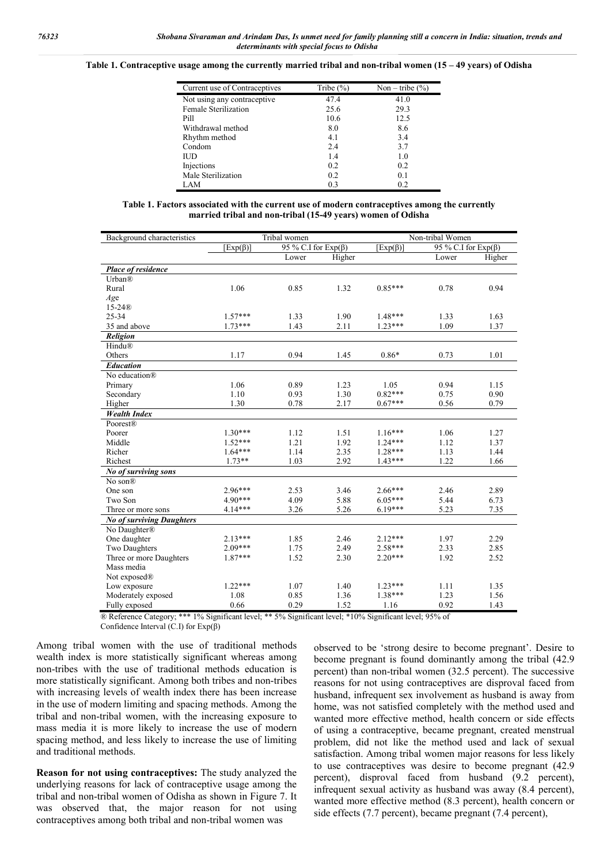#### **Table 1. Contraceptive usage among the currently married tribal and non-tribal women (15 – 49 years) of Odisha**

| Current use of Contraceptives | Tribe $(\% )$ | Non – tribe $(\% )$ |
|-------------------------------|---------------|---------------------|
| Not using any contraceptive   | 47.4          | 41.0                |
| Female Sterilization          | 25.6          | 29.3                |
| Pill                          | 10.6          | 12.5                |
| Withdrawal method             | 8.0           | 8.6                 |
| Rhythm method                 | 4.1           | 3.4                 |
| Condom                        | 2.4           | 3.7                 |
| ΠD                            | 1.4           | 1.0                 |
| Injections                    | 0.2           | 0.2                 |
| Male Sterilization            | 0.2           | 0.1                 |
| LAM                           | 0.3           | 0.2                 |

|                                                             |  | Table 1. Factors associated with the current use of modern contraceptives among the currently |
|-------------------------------------------------------------|--|-----------------------------------------------------------------------------------------------|
| married tribal and non-tribal (15-49 years) women of Odisha |  |                                                                                               |

| Background characteristics       | Tribal women                                |       |        | Non-tribal Women |       |                           |  |
|----------------------------------|---------------------------------------------|-------|--------|------------------|-------|---------------------------|--|
|                                  | 95 % C.I for $Exp(\beta)$<br>$[Exp(\beta)]$ |       |        | $[Exp(\beta)]$   |       | 95 % C.I for $Exp(\beta)$ |  |
|                                  |                                             | Lower | Higher |                  | Lower | Higher                    |  |
| Place of residence               |                                             |       |        |                  |       |                           |  |
| Urban®                           |                                             |       |        |                  |       |                           |  |
| Rural                            | 1.06                                        | 0.85  | 1.32   | $0.85***$        | 0.78  | 0.94                      |  |
| Age                              |                                             |       |        |                  |       |                           |  |
| $15-24®$                         |                                             |       |        |                  |       |                           |  |
| 25-34                            | $1.57***$                                   | 1.33  | 1.90   | $1.48***$        | 1.33  | 1.63                      |  |
| 35 and above                     | $1.73***$                                   | 1.43  | 2.11   | $1.23***$        | 1.09  | 1.37                      |  |
| Religion                         |                                             |       |        |                  |       |                           |  |
| Hindu®                           |                                             |       |        |                  |       |                           |  |
| Others                           | 1.17                                        | 0.94  | 1.45   | $0.86*$          | 0.73  | 1.01                      |  |
| <b>Education</b>                 |                                             |       |        |                  |       |                           |  |
| No education®                    |                                             |       |        |                  |       |                           |  |
| Primary                          | 1.06                                        | 0.89  | 1.23   | 1.05             | 0.94  | 1.15                      |  |
| Secondary                        | 1.10                                        | 0.93  | 1.30   | $0.82***$        | 0.75  | 0.90                      |  |
| Higher                           | 1.30                                        | 0.78  | 2.17   | $0.67***$        | 0.56  | 0.79                      |  |
| <b>Wealth Index</b>              |                                             |       |        |                  |       |                           |  |
| Poorest®                         |                                             |       |        |                  |       |                           |  |
| Poorer                           | $1.30***$                                   | 1.12  | 1.51   | $1.16***$        | 1.06  | 1.27                      |  |
| Middle                           | $1.52***$                                   | 1.21  | 1.92   | $1.24***$        | 1.12  | 1.37                      |  |
| Richer                           | $1.64***$                                   | 1.14  | 2.35   | $1.28***$        | 1.13  | 1.44                      |  |
| Richest                          | $1.73**$                                    | 1.03  | 2.92   | $1.43***$        | 1.22  | 1.66                      |  |
| No of surviving sons             |                                             |       |        |                  |       |                           |  |
| No son <sup>®</sup>              |                                             |       |        |                  |       |                           |  |
| One son                          | $2.96***$                                   | 2.53  | 3.46   | $2.66***$        | 2.46  | 2.89                      |  |
| Two Son                          | 4.90***                                     | 4.09  | 5.88   | $6.05***$        | 5.44  | 6.73                      |  |
| Three or more sons               | 4.14***                                     | 3.26  | 5.26   | $6.19***$        | 5.23  | 7.35                      |  |
| <b>No of surviving Daughters</b> |                                             |       |        |                  |       |                           |  |
| No Daughter®                     |                                             |       |        |                  |       |                           |  |
| One daughter                     | $2.13***$                                   | 1.85  | 2.46   | $2.12***$        | 1.97  | 2.29                      |  |
| Two Daughters                    | $2.09***$                                   | 1.75  | 2.49   | $2.58***$        | 2.33  | 2.85                      |  |
| Three or more Daughters          | $1.87***$                                   | 1.52  | 2.30   | $2.20***$        | 1.92  | 2.52                      |  |
| Mass media                       |                                             |       |        |                  |       |                           |  |
| Not exposed <sup>®</sup>         |                                             |       |        |                  |       |                           |  |
| Low exposure                     | $1.22***$                                   | 1.07  | 1.40   | $1.23***$        | 1.11  | 1.35                      |  |
| Moderately exposed               | 1.08                                        | 0.85  | 1.36   | $1.38***$        | 1.23  | 1.56                      |  |
| Fully exposed                    | 0.66                                        | 0.29  | 1.52   | 1.16             | 0.92  | 1.43                      |  |

® Reference Category; \*\*\* 1% Significant level; \*\* 5% Significant level; \*10% Significant level; 95% of Confidence Interval (C.I) for  $Exp(\beta)$ 

Among tribal women with the use of traditional methods wealth index is more statistically significant whereas among non-tribes with the use of traditional methods education is more statistically significant. Among both tribes and non-tribes with increasing levels of wealth index there has been increase in the use of modern limiting and spacing methods. Among the tribal and non-tribal women, with the increasing exposure to mass media it is more likely to increase the use of modern spacing method, and less likely to increase the use of limiting and traditional methods.

**Reason for not using contraceptives:** The study analyzed the underlying reasons for lack of contraceptive usage among the tribal and non-tribal women of Odisha as shown in Figure 7. It was observed that, the major reason for not using contraceptives among both tribal and non-tribal women was

observed to be 'strong desire to become pregnant'. Desire to become pregnant is found dominantly among the tribal (42.9 percent) than non-tribal women (32.5 percent). The successive reasons for not using contraceptives are disproval faced from husband, infrequent sex involvement as husband is away from home, was not satisfied completely with the method used and wanted more effective method, health concern or side effects of using a contraceptive, became pregnant, created menstrual problem, did not like the method used and lack of sexual satisfaction. Among tribal women major reasons for less likely to use contraceptives was desire to become pregnant (42.9 percent), disproval faced from husband (9.2 percent), infrequent sexual activity as husband was away (8.4 percent), wanted more effective method (8.3 percent), health concern or side effects (7.7 percent), became pregnant (7.4 percent),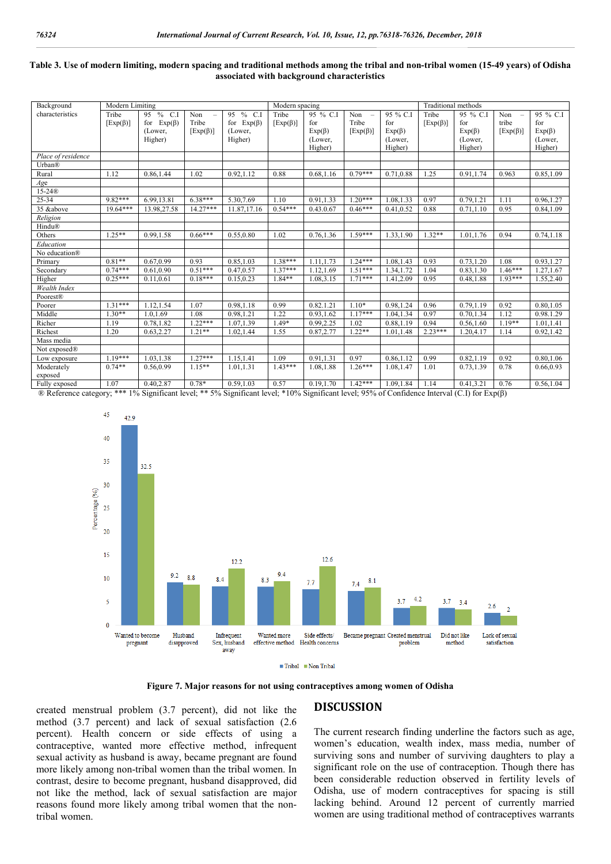### **Table 3. Use of modern limiting, modern spacing and traditional methods among the tribal and non-tribal women (15-49 years) of Odisha associated with background characteristics**

| Background         | Modern Limiting |                     |                      | Modern spacing   |                |                       |                          | Traditional methods |                |                             |                |              |
|--------------------|-----------------|---------------------|----------------------|------------------|----------------|-----------------------|--------------------------|---------------------|----------------|-----------------------------|----------------|--------------|
| characteristics    | Tribe           | $%$ C.I<br>95       | Non<br>$\frac{1}{2}$ | 95 % C.I         | Tribe          | $\overline{95}$ % C.I | Non<br>$\qquad \qquad -$ | 95 % C.I            | Tribe          | 95 % C.I<br>Non<br>95 % C.I |                |              |
|                    | $[Exp(\beta)]$  | $Exp(\beta)$<br>for | Tribe                | for $Exp(\beta)$ | $[Exp(\beta)]$ | for                   | Tribe                    | for                 | $[Exp(\beta)]$ | for                         | tribe          | for          |
|                    |                 | (Lower,             | $[Exp(\beta)]$       | (Lower,          |                | $Exp(\beta)$          | $[Exp(\beta)]$           | $Exp(\beta)$        |                | $Exp(\beta)$                | $[Exp(\beta)]$ | $Exp(\beta)$ |
|                    |                 | Higher)             |                      | Higher)          |                | (Lower,               |                          | (Lower,             |                | (Lower,                     |                | (Lower,      |
|                    |                 |                     |                      |                  |                | Higher)               |                          | Higher)             |                | Higher)                     |                | Higher)      |
| Place of residence |                 |                     |                      |                  |                |                       |                          |                     |                |                             |                |              |
| Urban®             |                 |                     |                      |                  |                |                       |                          |                     |                |                             |                |              |
| Rural              | 1.12            | 0.86,1.44           | 1.02                 | 0.92.1.12        | 0.88           | 0.68,1.16             | $0.79***$                | 0.71,0.88           | 1.25           | 0.91.1.74                   | 0.963          | 0.85,1.09    |
| Age                |                 |                     |                      |                  |                |                       |                          |                     |                |                             |                |              |
| $15-24®$           |                 |                     |                      |                  |                |                       |                          |                     |                |                             |                |              |
| 25-34              | 9.82***         | 6.99,13.81          | $6.38***$            | 5.30,7.69        | 1.10           | 0.91,1.33             | $1.20***$                | 1.08,1.33           | 0.97           | 0.79,1.21                   | 1.11           | 0.96,1.27    |
| 35 &above          | $19.64***$      | 13.98,27.58         | $14.27***$           | 11.87,17.16      | $0.54***$      | 0.43.0.67             | $0.46***$                | 0.41,0.52           | 0.88           | 0.71, 1.10                  | 0.95           | 0.84,1.09    |
| Religion           |                 |                     |                      |                  |                |                       |                          |                     |                |                             |                |              |
| Hindu®             |                 |                     |                      |                  |                |                       |                          |                     |                |                             |                |              |
| Others             | $1.25**$        | 0.99,1.58           | $0.66***$            | 0.55,0.80        | 1.02           | 0.76,1.36             | $1.59***$                | 1.33, 1.90          | $1.32**$       | 1.01,1.76                   | 0.94           | 0.74, 1.18   |
| Education          |                 |                     |                      |                  |                |                       |                          |                     |                |                             |                |              |
| No education®      |                 |                     |                      |                  |                |                       |                          |                     |                |                             |                |              |
| Primary            | $0.81**$        | 0.67,0.99           | 0.93                 | 0.85,1.03        | $1.38***$      | 1.11.1.73             | $1.24***$                | 1.08,1.43           | 0.93           | 0.73.1.20                   | 1.08           | 0.93.1.27    |
| Secondary          | $0.74***$       | 0.61,0.90           | $0.51***$            | 0.47,0.57        | $1.37***$      | 1.12,1.69             | $1.51***$                | 1.34, 1.72          | 1.04           | 0.83,1.30                   | $1.46***$      | 1.27, 1.67   |
| Higher             | $0.25***$       | 0.11,0.61           | $0.18***$            | 0.15,0.23        | $1.84**$       | 1.08,3.15             | $1.71***$                | 1.41,2.09           | 0.95           | 0.48,1.88                   | $1.93***$      | 1.55,2.40    |
| Wealth Index       |                 |                     |                      |                  |                |                       |                          |                     |                |                             |                |              |
| Poorest®           |                 |                     |                      |                  |                |                       |                          |                     |                |                             |                |              |
| Poorer             | $1.31***$       | 1.12,1.54           | 1.07                 | 0.98,1.18        | 0.99           | 0.82.1.21             | $1.10*$                  | 0.98,1.24           | 0.96           | 0.79.1.19                   | 0.92           | 0.80,1.05    |
| Middle             | $1.30**$        | 1.0,1.69            | 1.08                 | 0.98,1.21        | 1.22           | 0.93,1.62             | $1.17***$                | 1.04, 1.34          | 0.97           | 0.70,1.34                   | 1.12           | 0.98.1.29    |
| Richer             | 1.19            | 0.78,1.82           | $1.22***$            | 1.07,1.39        | $1.49*$        | 0.99,2.25             | 1.02                     | 0.88,1.19           | 0.94           | 0.56,1.60                   | $1.19**$       | 1.01,1.41    |
| Richest            | 1.20            | 0.63,2.27           | $1.21**$             | 1.02,1.44        | 1.55           | 0.87, 2.77            | $1.22**$                 | 1.01,1.48           | $2.23***$      | 1.20,4.17                   | 1.14           | 0.92, 1.42   |
| Mass media         |                 |                     |                      |                  |                |                       |                          |                     |                |                             |                |              |
| Not exposed®       |                 |                     |                      |                  |                |                       |                          |                     |                |                             |                |              |
| Low exposure       | $1.19***$       | 1.03,1.38           | $1.27***$            | 1.15,1.41        | 1.09           | 0.91,1.31             | 0.97                     | 0.86,1.12           | 0.99           | 0.82,1.19                   | 0.92           | 0.80,1.06    |
| Moderately         | $0.74**$        | 0.56,0.99           | $1.15**$             | 1.01,1.31        | $1.43***$      | 1.08,1.88             | $1.26***$                | 1.08,1.47           | 1.01           | 0.73,1.39                   | 0.78           | 0.66,0.93    |
| exposed            |                 |                     |                      |                  |                |                       |                          |                     |                |                             |                |              |
| Fully exposed      | 1.07            | 0.40,2.87           | $0.78*$              | 0.59,1.03        | 0.57           | 0.19,1.70             | $1.42***$                | 1.09.1.84           | 1.14           | 0.41,3.21                   | 0.76           | 0.56,1.04    |

® Reference category; \*\*\* 1% Significant level; \*\* 5% Significant level; \*10% Significant level; 95% of Confidence Interval (C.I) for Exp(β)





**Figure 7. Major reasons for not using contraceptives among women of Odisha**

created menstrual problem (3.7 percent), did not like the method (3.7 percent) and lack of sexual satisfaction (2.6 percent). Health concern or side effects of using a contraceptive, wanted more effective method, infrequent sexual activity as husband is away, became pregnant are found more likely among non-tribal women than the tribal women. In contrast, desire to become pregnant, husband disapproved, did not like the method, lack of sexual satisfaction are major reasons found more likely among tribal women that the nontribal women.

## **DISCUSSION**

The current research finding underline the factors such as age, women's education, wealth index, mass media, number of surviving sons and number of surviving daughters to play a significant role on the use of contraception. Though there has been considerable reduction observed in fertility levels of Odisha, use of modern contraceptives for spacing is still lacking behind. Around 12 percent of currently married women are using traditional method of contraceptives warrants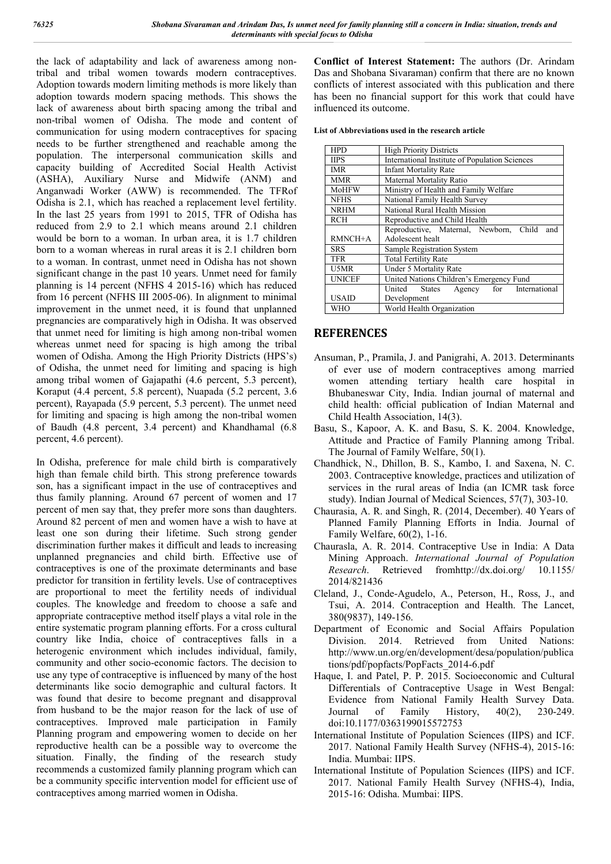the lack of adaptability and lack of awareness among nontribal and tribal women towards modern contraceptives. Adoption towards modern limiting methods is more likely than adoption towards modern spacing methods. This shows the lack of awareness about birth spacing among the tribal and non-tribal women of Odisha. The mode and content of communication for using modern contraceptives for spacing needs to be further strengthened and reachable among the population. The interpersonal communication skills and capacity building of Accredited Social Health Activist (ASHA), Auxiliary Nurse and Midwife (ANM) and Anganwadi Worker (AWW) is recommended. The TFRof Odisha is 2.1, which has reached a replacement level fertility. In the last 25 years from 1991 to 2015, TFR of Odisha has reduced from 2.9 to 2.1 which means around 2.1 children would be born to a woman. In urban area, it is 1.7 children born to a woman whereas in rural areas it is 2.1 children born to a woman. In contrast, unmet need in Odisha has not shown significant change in the past 10 years. Unmet need for family planning is 14 percent (NFHS 4 2015-16) which has reduced from 16 percent (NFHS III 2005-06). In alignment to minimal improvement in the unmet need, it is found that unplanned pregnancies are comparatively high in Odisha. It was observed that unmet need for limiting is high among non-tribal women whereas unmet need for spacing is high among the tribal women of Odisha. Among the High Priority Districts (HPS's) of Odisha, the unmet need for limiting and spacing is high among tribal women of Gajapathi (4.6 percent, 5.3 percent), Koraput (4.4 percent, 5.8 percent), Nuapada (5.2 percent, 3.6 percent), Rayapada (5.9 percent, 5.3 percent). The unmet need for limiting and spacing is high among the non-tribal women of Baudh (4.8 percent, 3.4 percent) and Khandhamal (6.8 percent, 4.6 percent).

In Odisha, preference for male child birth is comparatively high than female child birth. This strong preference towards son, has a significant impact in the use of contraceptives and thus family planning. Around 67 percent of women and 17 percent of men say that, they prefer more sons than daughters. Around 82 percent of men and women have a wish to have at least one son during their lifetime. Such strong gender discrimination further makes it difficult and leads to increasing unplanned pregnancies and child birth. Effective use of contraceptives is one of the proximate determinants and base predictor for transition in fertility levels. Use of contraceptives are proportional to meet the fertility needs of individual couples. The knowledge and freedom to choose a safe and appropriate contraceptive method itself plays a vital role in the entire systematic program planning efforts. For a cross cultural country like India, choice of contraceptives falls in a heterogenic environment which includes individual, family, community and other socio-economic factors. The decision to use any type of contraceptive is influenced by many of the host determinants like socio demographic and cultural factors. It was found that desire to become pregnant and disapproval from husband to be the major reason for the lack of use of contraceptives. Improved male participation in Family Planning program and empowering women to decide on her reproductive health can be a possible way to overcome the situation. Finally, the finding of the research study recommends a customized family planning program which can be a community specific intervention model for efficient use of contraceptives among married women in Odisha.

**Conflict of Interest Statement:** The authors (Dr. Arindam Das and Shobana Sivaraman) confirm that there are no known conflicts of interest associated with this publication and there has been no financial support for this work that could have influenced its outcome.

**List of Abbreviations used in the research article** 

| <b>HPD</b>    | <b>High Priority Districts</b>                  |  |  |  |  |  |
|---------------|-------------------------------------------------|--|--|--|--|--|
| <b>IIPS</b>   | International Institute of Population Sciences  |  |  |  |  |  |
| <b>IMR</b>    | <b>Infant Mortality Rate</b>                    |  |  |  |  |  |
| <b>MMR</b>    | Maternal Mortality Ratio                        |  |  |  |  |  |
| <b>MoHFW</b>  | Ministry of Health and Family Welfare           |  |  |  |  |  |
| <b>NFHS</b>   | National Family Health Survey                   |  |  |  |  |  |
| <b>NRHM</b>   | National Rural Health Mission                   |  |  |  |  |  |
| <b>RCH</b>    | Reproductive and Child Health                   |  |  |  |  |  |
|               | Reproductive, Maternal, Newborn, Child<br>and   |  |  |  |  |  |
| $RMNCH+A$     | Adolescent healt                                |  |  |  |  |  |
| <b>SRS</b>    | Sample Registration System                      |  |  |  |  |  |
| TFR           | <b>Total Fertility Rate</b>                     |  |  |  |  |  |
| U5MR          | Under 5 Mortality Rate                          |  |  |  |  |  |
| <b>UNICEF</b> | United Nations Children's Emergency Fund        |  |  |  |  |  |
|               | Agency for<br>International<br>United<br>States |  |  |  |  |  |
| <b>USAID</b>  | Development                                     |  |  |  |  |  |
| WHO           | World Health Organization                       |  |  |  |  |  |

# **REFERENCES**

- Ansuman, P., Pramila, J. and Panigrahi, A. 2013. Determinants of ever use of modern contraceptives among married women attending tertiary health care hospital in Bhubaneswar City, India. Indian journal of maternal and child health: official publication of Indian Maternal and Child Health Association, 14(3).
- Basu, S., Kapoor, A. K. and Basu, S. K. 2004. Knowledge, Attitude and Practice of Family Planning among Tribal. The Journal of Family Welfare, 50(1).
- Chandhick, N., Dhillon, B. S., Kambo, I. and Saxena, N. C. 2003. Contraceptive knowledge, practices and utilization of services in the rural areas of India (an ICMR task force study). Indian Journal of Medical Sciences, 57(7), 303-10.
- Chaurasia, A. R. and Singh, R. (2014, December). 40 Years of Planned Family Planning Efforts in India. Journal of Family Welfare, 60(2), 1-16.
- Chaurasla, A. R. 2014. Contraceptive Use in India: A Data Mining Approach. *International Journal of Population Research*. Retrieved fromhttp://dx.doi.org/ 10.1155/ 2014/821436
- Cleland, J., Conde-Agudelo, A., Peterson, H., Ross, J., and Tsui, A. 2014. Contraception and Health. The Lancet, 380(9837), 149-156.
- Department of Economic and Social Affairs Population Division. 2014. Retrieved from United Nations: http://www.un.org/en/development/desa/population/publica tions/pdf/popfacts/PopFacts\_2014-6.pdf
- Haque, I. and Patel, P. P. 2015. Socioeconomic and Cultural Differentials of Contraceptive Usage in West Bengal: Evidence from National Family Health Survey Data.<br>Journal of Family History, 40(2), 230-249. Journal of Family History, doi:10.1177/0363199015572753
- International Institute of Population Sciences (IIPS) and ICF. 2017. National Family Health Survey (NFHS-4), 2015-16: India. Mumbai: IIPS.
- International Institute of Population Sciences (IIPS) and ICF. 2017. National Family Health Survey (NFHS-4), India, 2015-16: Odisha. Mumbai: IIPS.